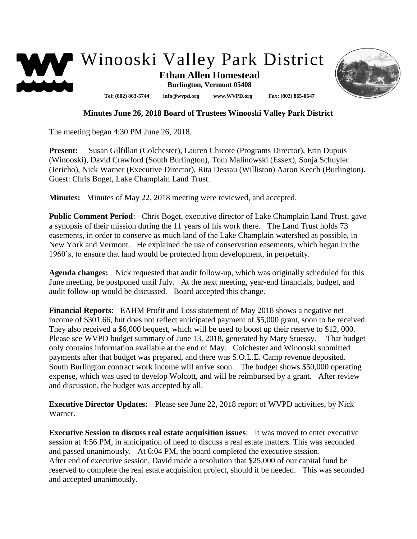



## **Minutes June 26, 2018 Board of Trustees Winooski Valley Park District**

The meeting began 4:30 PM June 26, 2018.

**Present:** Susan Gilfillan (Colchester), Lauren Chicote (Programs Director), Erin Dupuis (Winooski), David Crawford (South Burlington), Tom Malinowski (Essex), Sonja Schuyler (Jericho), Nick Warner (Executive Director), Rita Dessau (Williston) Aaron Keech (Burlington). Guest: Chris Boget, Lake Champlain Land Trust.

**Minutes:** Minutes of May 22, 2018 meeting were reviewed, and accepted.

**Public Comment Period**: Chris Boget, executive director of Lake Champlain Land Trust, gave a synopsis of their mission during the 11 years of his work there. The Land Trust holds 73 easements, in order to conserve as much land of the Lake Champlain watershed as possible, in New York and Vermont. He explained the use of conservation easements, which began in the 1960's, to ensure that land would be protected from development, in perpetuity.

**Agenda changes:** Nick requested that audit follow-up, which was originally scheduled for this June meeting, be postponed until July. At the next meeting, year-end financials, budget, and audit follow-up would be discussed. Board accepted this change.

**Financial Reports**: EAHM Profit and Loss statement of May 2018 shows a negative net income of \$301.66, but does not reflect anticipated payment of \$5,000 grant, soon to be received. They also received a \$6,000 bequest, which will be used to boost up their reserve to \$12, 000. Please see WVPD budget summary of June 13, 2018, generated by Mary Stuessy. That budget only contains information available at the end of May. Colchester and Winooski submitted payments after that budget was prepared, and there was S.O.L.E. Camp revenue deposited. South Burlington contract work income will arrive soon. The budget shows \$50,000 operating expense, which was used to develop Wolcott, and will be reimbursed by a grant. After review and discussion, the budget was accepted by all.

**Executive Director Updates:** Please see June 22, 2018 report of WVPD activities, by Nick Warner.

**Executive Session to discuss real estate acquisition issues**: It was moved to enter executive session at 4:56 PM, in anticipation of need to discuss a real estate matters. This was seconded and passed unanimously. At 6:04 PM, the board completed the executive session. After end of executive session, David made a resolution that \$25,000 of our capital fund be reserved to complete the real estate acquisition project, should it be needed. This was seconded and accepted unanimously.